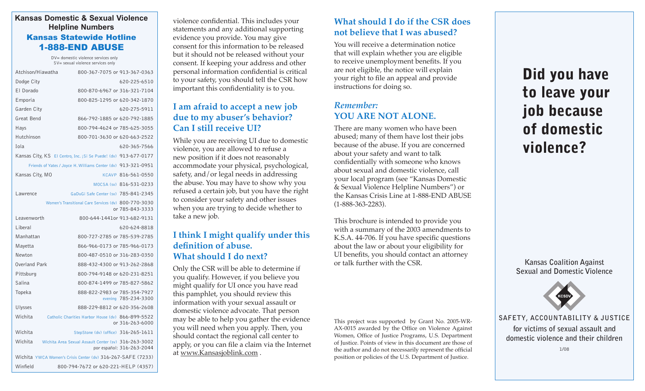#### **Kansas Domestic & Sexual Violence Helpline Numbers** Kansas Statewide Hotline 1-888-END ABUSE

DV= domestic violence services only SV= sexual violence services only

| Atchison/Hiawatha                                                       | 800-367-7075 or 913-367-0363                                                      |
|-------------------------------------------------------------------------|-----------------------------------------------------------------------------------|
| Dodge City                                                              | 620-225-6510                                                                      |
| El Dorado                                                               | 800-870-6967 or 316-321-7104                                                      |
| Emporia                                                                 | 800-825-1295 or 620-342-1870                                                      |
| Garden City                                                             | 620-275-5911                                                                      |
| Great Bend                                                              | 866-792-1885 or 620-792-1885                                                      |
| Hays                                                                    | 800-794-4624 or 785-625-3055                                                      |
| Hutchinson                                                              | 800-701-3630 or 620-663-2522                                                      |
| <b>Tola</b><br>620-365-7566                                             |                                                                                   |
| Kansas City, KS El Centro, Inc. ¡Si Se Puede! (dv) 913-677-0177         |                                                                                   |
| Friends of Yates / Joyce H. Williams Center (dv) 913-321-0951           |                                                                                   |
| Kansas City, MO                                                         | KCAVP 816-561-0550                                                                |
|                                                                         | MOCSA (sv) 816-531-0233                                                           |
| Lawrence                                                                | GaDuGi Safe Center (sv) 785-841-2345                                              |
| Women's Transitional Care Services (dv) 800-770-3030<br>or 785-843-3333 |                                                                                   |
| Leavenworth                                                             | 800-644-1441or 913-682-9131                                                       |
| Liberal                                                                 | 620-624-8818                                                                      |
| Manhattan                                                               | 800-727-2785 or 785-539-2785                                                      |
| Mayetta                                                                 | 866-966-0173 or 785-966-0173                                                      |
| Newton                                                                  | 800-487-0510 or 316-283-0350                                                      |
| Overland Park                                                           | 888-432-4300 or 913-262-2868                                                      |
| Pittsburg                                                               | 800-794-9148 or 620-231-8251                                                      |
| Salina                                                                  | 800-874-1499 or 785-827-5862                                                      |
| Topeka                                                                  | 888-822-2983 or 785-354-7927<br>evening 785-234-3300                              |
| <b>Ulysses</b>                                                          | 888-229-8812 or 620-356-2608                                                      |
| Wichita                                                                 | Catholic Charities Harbor House (dv) 866-899-5522<br>or 316-263-6000              |
| Wichita                                                                 | StepStone (dv) (office) 316-265-1611                                              |
| Wichita                                                                 | Wichita Area Sexual Assault Center (sv) 316-263-3002<br>por español: 316-263-2044 |
| Wichita YWCA Women's Crisis Center (dv) 316-267-SAFE (7233)             |                                                                                   |

Winfield 800-794-7672 or 620-221-HELP (4357)

violence confidential. This includes your statements and any additional supporting evidence you provide. You may give consent for this information to be released but it should not be released without your consent. If keeping your address and other personal information confidential is critical to your safety, you should tell the CSR how important this confidentiality is to you.

## **I am afraid to accept a new job due to my abuser's behavior? Can I still receive UI?**

While you are receiving UI due to domestic violence, you are allowed to refuse a new position if it does not reasonably accommodate your physical, psychological, safety, and/or legal needs in addressing the abuse. You may have to show why you refused a certain job, but you have the right to consider your safety and other issues when you are trying to decide whether to take a new job.

#### **I think I might qualify under this definition of abuse. What should I do next?**

Only the CSR will be able to determine if you qualify. However, if you believe you might qualify for UI once you have read this pamphlet, you should review this information with your sexual assault or domestic violence advocate. That person may be able to help you gather the evidence you will need when you apply. Then, you should contact the regional call center to apply, or you can file a claim via the Internet at www.Kansasjoblink.com .

# **What should I do if the CSR does not believe that I was abused?**

You will receive a determination notice that will explain whether you are eligible to receive unemployment benefits. If you are not eligible, the notice will explain your right to file an appeal and provide instructions for doing so.

# *Remember:*  YOU ARE NOT ALONE.

There are many women who have been abused; many of them have lost their jobs because of the abuse. If you are concerned about your safety and want to talk confidentially with someone who knows about sexual and domestic violence, call your local program (see "Kansas Domestic & Sexual Violence Helpline Numbers") or the Kansas Crisis Line at 1-888-END ABUSE (1-888-363-2283).

This brochure is intended to provide you with a summary of the 2003 amendments to K.S.A. 44-706. If you have specific questions about the law or about your eligibility for UI benefits, you should contact an attorney or talk further with the CSR.

This project was supported by Grant No. 2005-WR-AX-0015 awarded by the Office on Violence Against Women, Office of Justice Programs, U.S. Department of Justice. Points of view in this document are those of the author and do not necessarily represent the official position or policies of the U.S. Department of Justice.

Did you have to leave your job because of domestic violence?

**Kansas Coalition Against Sexual and Domestic Violence**



**SAFETY, ACCOUNTABILITY & JUSTICE for victims of sexual assault and domestic violence and their children**

1/08